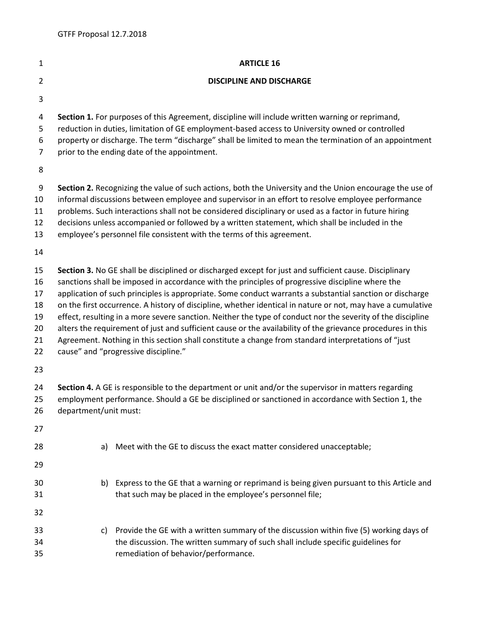| $\mathbf{1}$                                 | <b>ARTICLE 16</b>                                                                                                                                                                                                                                                                                                                                                                                                                                                                                                                                                                                                                                                                                                                                                                                                  |                                                                                                                                                                                                                         |  |  |  |
|----------------------------------------------|--------------------------------------------------------------------------------------------------------------------------------------------------------------------------------------------------------------------------------------------------------------------------------------------------------------------------------------------------------------------------------------------------------------------------------------------------------------------------------------------------------------------------------------------------------------------------------------------------------------------------------------------------------------------------------------------------------------------------------------------------------------------------------------------------------------------|-------------------------------------------------------------------------------------------------------------------------------------------------------------------------------------------------------------------------|--|--|--|
| $\overline{2}$                               | <b>DISCIPLINE AND DISCHARGE</b>                                                                                                                                                                                                                                                                                                                                                                                                                                                                                                                                                                                                                                                                                                                                                                                    |                                                                                                                                                                                                                         |  |  |  |
| 3                                            |                                                                                                                                                                                                                                                                                                                                                                                                                                                                                                                                                                                                                                                                                                                                                                                                                    |                                                                                                                                                                                                                         |  |  |  |
| 4<br>5<br>6<br>7                             | Section 1. For purposes of this Agreement, discipline will include written warning or reprimand,<br>reduction in duties, limitation of GE employment-based access to University owned or controlled<br>property or discharge. The term "discharge" shall be limited to mean the termination of an appointment<br>prior to the ending date of the appointment.                                                                                                                                                                                                                                                                                                                                                                                                                                                      |                                                                                                                                                                                                                         |  |  |  |
| 8                                            |                                                                                                                                                                                                                                                                                                                                                                                                                                                                                                                                                                                                                                                                                                                                                                                                                    |                                                                                                                                                                                                                         |  |  |  |
| 9<br>10<br>11<br>12<br>13                    | Section 2. Recognizing the value of such actions, both the University and the Union encourage the use of<br>informal discussions between employee and supervisor in an effort to resolve employee performance<br>problems. Such interactions shall not be considered disciplinary or used as a factor in future hiring<br>decisions unless accompanied or followed by a written statement, which shall be included in the<br>employee's personnel file consistent with the terms of this agreement.                                                                                                                                                                                                                                                                                                                |                                                                                                                                                                                                                         |  |  |  |
| 14                                           |                                                                                                                                                                                                                                                                                                                                                                                                                                                                                                                                                                                                                                                                                                                                                                                                                    |                                                                                                                                                                                                                         |  |  |  |
| 15<br>16<br>17<br>18<br>19<br>20<br>21<br>22 | Section 3. No GE shall be disciplined or discharged except for just and sufficient cause. Disciplinary<br>sanctions shall be imposed in accordance with the principles of progressive discipline where the<br>application of such principles is appropriate. Some conduct warrants a substantial sanction or discharge<br>on the first occurrence. A history of discipline, whether identical in nature or not, may have a cumulative<br>effect, resulting in a more severe sanction. Neither the type of conduct nor the severity of the discipline<br>alters the requirement of just and sufficient cause or the availability of the grievance procedures in this<br>Agreement. Nothing in this section shall constitute a change from standard interpretations of "just<br>cause" and "progressive discipline." |                                                                                                                                                                                                                         |  |  |  |
| 23                                           |                                                                                                                                                                                                                                                                                                                                                                                                                                                                                                                                                                                                                                                                                                                                                                                                                    |                                                                                                                                                                                                                         |  |  |  |
| 24<br>25<br>26                               | Section 4. A GE is responsible to the department or unit and/or the supervisor in matters regarding<br>employment performance. Should a GE be disciplined or sanctioned in accordance with Section 1, the<br>department/unit must:                                                                                                                                                                                                                                                                                                                                                                                                                                                                                                                                                                                 |                                                                                                                                                                                                                         |  |  |  |
| 27                                           |                                                                                                                                                                                                                                                                                                                                                                                                                                                                                                                                                                                                                                                                                                                                                                                                                    |                                                                                                                                                                                                                         |  |  |  |
| 28                                           | a)                                                                                                                                                                                                                                                                                                                                                                                                                                                                                                                                                                                                                                                                                                                                                                                                                 | Meet with the GE to discuss the exact matter considered unacceptable;                                                                                                                                                   |  |  |  |
| 29                                           |                                                                                                                                                                                                                                                                                                                                                                                                                                                                                                                                                                                                                                                                                                                                                                                                                    |                                                                                                                                                                                                                         |  |  |  |
| 30<br>31<br>32                               |                                                                                                                                                                                                                                                                                                                                                                                                                                                                                                                                                                                                                                                                                                                                                                                                                    | b) Express to the GE that a warning or reprimand is being given pursuant to this Article and<br>that such may be placed in the employee's personnel file;                                                               |  |  |  |
| 33<br>34<br>35                               |                                                                                                                                                                                                                                                                                                                                                                                                                                                                                                                                                                                                                                                                                                                                                                                                                    | c) Provide the GE with a written summary of the discussion within five (5) working days of<br>the discussion. The written summary of such shall include specific guidelines for<br>remediation of behavior/performance. |  |  |  |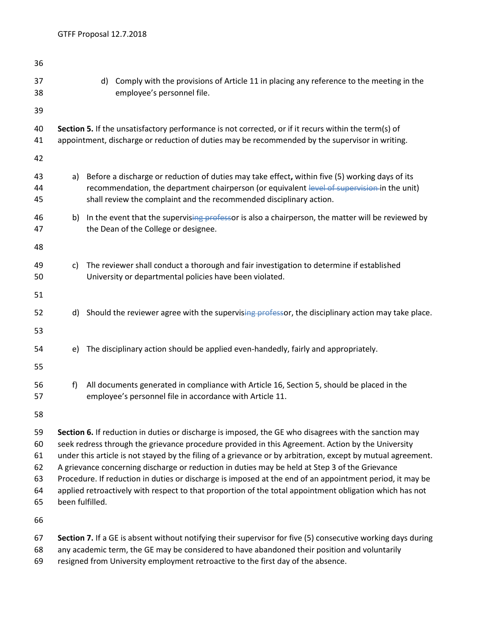| 36                                     |                                                                                                                                                                                                                                                                                                                                                                                                                                                                                                                                                                                                                                                                        |                                                                                                                                                                                                                                                                      |                                                                                                                                                       |  |  |
|----------------------------------------|------------------------------------------------------------------------------------------------------------------------------------------------------------------------------------------------------------------------------------------------------------------------------------------------------------------------------------------------------------------------------------------------------------------------------------------------------------------------------------------------------------------------------------------------------------------------------------------------------------------------------------------------------------------------|----------------------------------------------------------------------------------------------------------------------------------------------------------------------------------------------------------------------------------------------------------------------|-------------------------------------------------------------------------------------------------------------------------------------------------------|--|--|
| 37<br>38                               |                                                                                                                                                                                                                                                                                                                                                                                                                                                                                                                                                                                                                                                                        |                                                                                                                                                                                                                                                                      | d) Comply with the provisions of Article 11 in placing any reference to the meeting in the<br>employee's personnel file.                              |  |  |
| 39                                     |                                                                                                                                                                                                                                                                                                                                                                                                                                                                                                                                                                                                                                                                        |                                                                                                                                                                                                                                                                      |                                                                                                                                                       |  |  |
| 40<br>41                               | Section 5. If the unsatisfactory performance is not corrected, or if it recurs within the term(s) of<br>appointment, discharge or reduction of duties may be recommended by the supervisor in writing.                                                                                                                                                                                                                                                                                                                                                                                                                                                                 |                                                                                                                                                                                                                                                                      |                                                                                                                                                       |  |  |
| 42                                     |                                                                                                                                                                                                                                                                                                                                                                                                                                                                                                                                                                                                                                                                        |                                                                                                                                                                                                                                                                      |                                                                                                                                                       |  |  |
| 43<br>44<br>45                         | a)                                                                                                                                                                                                                                                                                                                                                                                                                                                                                                                                                                                                                                                                     | Before a discharge or reduction of duties may take effect, within five (5) working days of its<br>recommendation, the department chairperson (or equivalent level of supervision in the unit)<br>shall review the complaint and the recommended disciplinary action. |                                                                                                                                                       |  |  |
| 46<br>47                               | b)                                                                                                                                                                                                                                                                                                                                                                                                                                                                                                                                                                                                                                                                     | In the event that the supervising professor is also a chairperson, the matter will be reviewed by<br>the Dean of the College or designee.                                                                                                                            |                                                                                                                                                       |  |  |
| 48                                     |                                                                                                                                                                                                                                                                                                                                                                                                                                                                                                                                                                                                                                                                        |                                                                                                                                                                                                                                                                      |                                                                                                                                                       |  |  |
| 49<br>50                               | C)                                                                                                                                                                                                                                                                                                                                                                                                                                                                                                                                                                                                                                                                     |                                                                                                                                                                                                                                                                      | The reviewer shall conduct a thorough and fair investigation to determine if established<br>University or departmental policies have been violated.   |  |  |
| 51                                     |                                                                                                                                                                                                                                                                                                                                                                                                                                                                                                                                                                                                                                                                        |                                                                                                                                                                                                                                                                      |                                                                                                                                                       |  |  |
| 52                                     |                                                                                                                                                                                                                                                                                                                                                                                                                                                                                                                                                                                                                                                                        |                                                                                                                                                                                                                                                                      | d) Should the reviewer agree with the supervising professor, the disciplinary action may take place.                                                  |  |  |
| 53                                     |                                                                                                                                                                                                                                                                                                                                                                                                                                                                                                                                                                                                                                                                        |                                                                                                                                                                                                                                                                      |                                                                                                                                                       |  |  |
| 54<br>55                               |                                                                                                                                                                                                                                                                                                                                                                                                                                                                                                                                                                                                                                                                        |                                                                                                                                                                                                                                                                      | e) The disciplinary action should be applied even-handedly, fairly and appropriately.                                                                 |  |  |
| 56<br>57                               | f)                                                                                                                                                                                                                                                                                                                                                                                                                                                                                                                                                                                                                                                                     |                                                                                                                                                                                                                                                                      | All documents generated in compliance with Article 16, Section 5, should be placed in the<br>employee's personnel file in accordance with Article 11. |  |  |
| 58                                     |                                                                                                                                                                                                                                                                                                                                                                                                                                                                                                                                                                                                                                                                        |                                                                                                                                                                                                                                                                      |                                                                                                                                                       |  |  |
| 59<br>60<br>61<br>62<br>63<br>64<br>65 | Section 6. If reduction in duties or discharge is imposed, the GE who disagrees with the sanction may<br>seek redress through the grievance procedure provided in this Agreement. Action by the University<br>under this article is not stayed by the filing of a grievance or by arbitration, except by mutual agreement.<br>A grievance concerning discharge or reduction in duties may be held at Step 3 of the Grievance<br>Procedure. If reduction in duties or discharge is imposed at the end of an appointment period, it may be<br>applied retroactively with respect to that proportion of the total appointment obligation which has not<br>been fulfilled. |                                                                                                                                                                                                                                                                      |                                                                                                                                                       |  |  |
| 66                                     |                                                                                                                                                                                                                                                                                                                                                                                                                                                                                                                                                                                                                                                                        |                                                                                                                                                                                                                                                                      |                                                                                                                                                       |  |  |
| 67                                     | Section 7. If a GE is absent without notifying their supervisor for five (5) consecutive working days during                                                                                                                                                                                                                                                                                                                                                                                                                                                                                                                                                           |                                                                                                                                                                                                                                                                      |                                                                                                                                                       |  |  |

- any academic term, the GE may be considered to have abandoned their position and voluntarily
- resigned from University employment retroactive to the first day of the absence.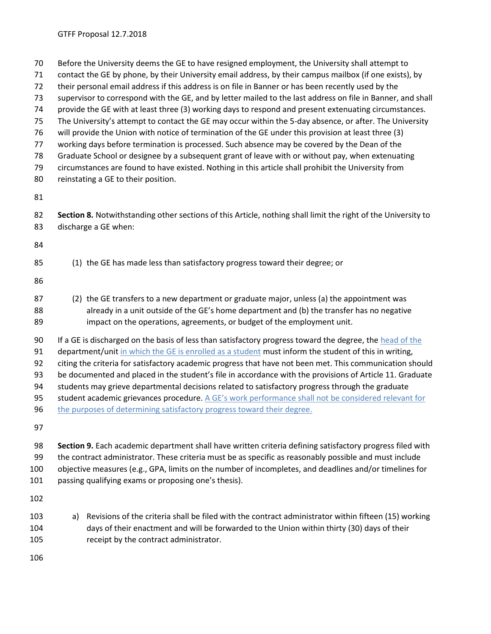Before the University deems the GE to have resigned employment, the University shall attempt to

- contact the GE by phone, by their University email address, by their campus mailbox (if one exists), by
- their personal email address if this address is on file in Banner or has been recently used by the

supervisor to correspond with the GE, and by letter mailed to the last address on file in Banner, and shall

- provide the GE with at least three (3) working days to respond and present extenuating circumstances.
- The University's attempt to contact the GE may occur within the 5-day absence, or after. The University
- will provide the Union with notice of termination of the GE under this provision at least three (3)
- working days before termination is processed. Such absence may be covered by the Dean of the
- Graduate School or designee by a subsequent grant of leave with or without pay, when extenuating circumstances are found to have existed. Nothing in this article shall prohibit the University from
- reinstating a GE to their position.

 **Section 8.** Notwithstanding other sections of this Article, nothing shall limit the right of the University to discharge a GE when:

- (1) the GE has made less than satisfactory progress toward their degree; or
- 
- (2) the GE transfers to a new department or graduate major, unless (a) the appointment was already in a unit outside of the GE's home department and (b) the transfer has no negative impact on the operations, agreements, or budget of the employment unit.

If a GE is discharged on the basis of less than satisfactory progress toward the degree, the head of the

91 department/unit in which the GE is enrolled as a student must inform the student of this in writing,

citing the criteria for satisfactory academic progress that have not been met. This communication should

be documented and placed in the student's file in accordance with the provisions of Article 11. Graduate

students may grieve departmental decisions related to satisfactory progress through the graduate

- student academic grievances procedure. A GE's work performance shall not be considered relevant for
- 96 the purposes of determining satisfactory progress toward their degree.

 **Section 9.** Each academic department shall have written criteria defining satisfactory progress filed with the contract administrator. These criteria must be as specific as reasonably possible and must include objective measures (e.g., GPA, limits on the number of incompletes, and deadlines and/or timelines for passing qualifying exams or proposing one's thesis).

 a) Revisions of the criteria shall be filed with the contract administrator within fifteen (15) working days of their enactment and will be forwarded to the Union within thirty (30) days of their receipt by the contract administrator.